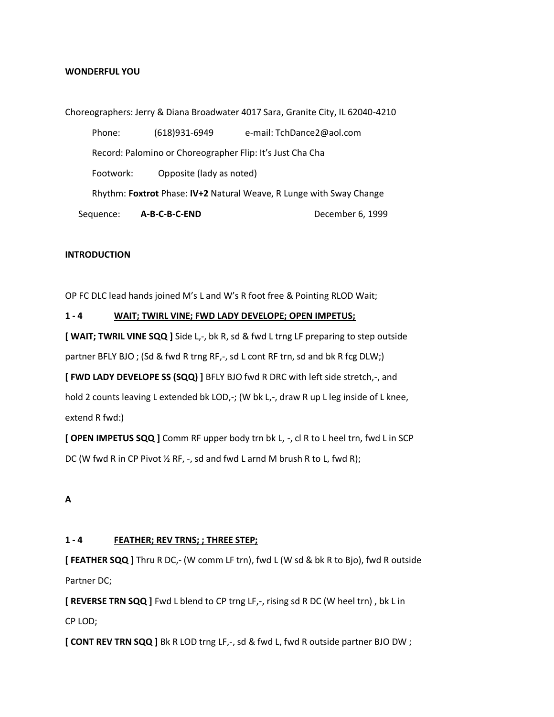#### **WONDERFUL YOU**

Choreographers: Jerry & Diana Broadwater 4017 Sara, Granite City, IL 62040-4210 Phone: (618)931-6949 e-mail: TchDance2@aol.com Record: Palomino or Choreographer Flip: It's Just Cha Cha Footwork: Opposite (lady as noted) Rhythm: **Foxtrot** Phase: **IV+2** Natural Weave, R Lunge with Sway Change Sequence: **A-B-C-B-C-END** December 6, 1999

#### **INTRODUCTION**

OP FC DLC lead hands joined M's L and W's R foot free & Pointing RLOD Wait;

#### **1 - 4 WAIT; TWIRL VINE; FWD LADY DEVELOPE; OPEN IMPETUS;**

**[ WAIT; TWRIL VINE SQQ ]** Side L,-, bk R, sd & fwd L trng LF preparing to step outside partner BFLY BJO; (Sd & fwd R trng RF,-, sd L cont RF trn, sd and bk R fcg DLW;)

**[ FWD LADY DEVELOPE SS (SQQ) ]** BFLY BJO fwd R DRC with left side stretch,-, and

hold 2 counts leaving L extended bk LOD,-; (W bk L,-, draw R up L leg inside of L knee, extend R fwd:)

**[ OPEN IMPETUS SQQ ]** Comm RF upper body trn bk L, -, cl R to L heel trn, fwd L in SCP DC (W fwd R in CP Pivot ½ RF, -, sd and fwd L arnd M brush R to L, fwd R);

#### **A**

#### **1 - 4 FEATHER; REV TRNS; ; THREE STEP;**

**[ FEATHER SQQ ]** Thru R DC,- (W comm LF trn), fwd L (W sd & bk R to Bjo), fwd R outside Partner DC;

**[ REVERSE TRN SQQ ]** Fwd L blend to CP trng LF,-, rising sd R DC (W heel trn), bk L in CP LOD;

**[ CONT REV TRN SQQ ]** Bk R LOD trng LF,-, sd & fwd L, fwd R outside partner BJO DW ;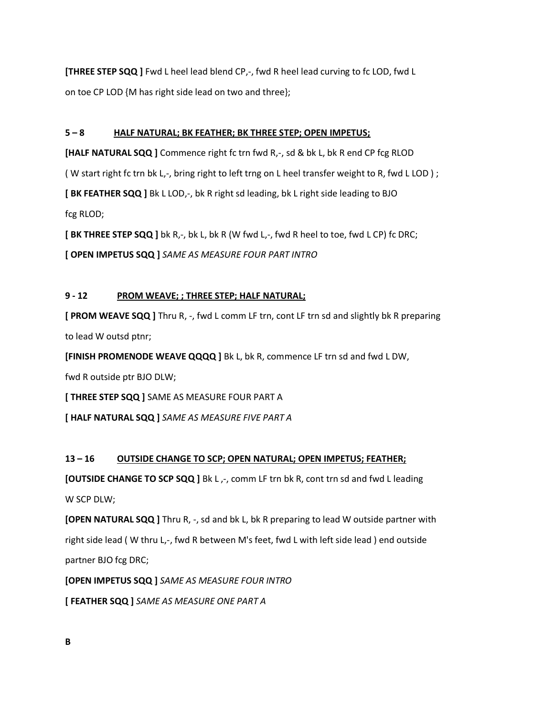**[THREE STEP SQQ ]** Fwd L heel lead blend CP,-, fwd R heel lead curving to fc LOD, fwd L on toe CP LOD {M has right side lead on two and three};

### **5 – 8 HALF NATURAL; BK FEATHER; BK THREE STEP; OPEN IMPETUS;**

**[HALF NATURAL SQQ]** Commence right fc trn fwd R,-, sd & bk L, bk R end CP fcg RLOD ( W start right fc trn bk L,-, bring right to left trng on L heel transfer weight to R, fwd L LOD ) ; **[BK FEATHER SQQ ]** Bk L LOD,-, bk R right sd leading, bk L right side leading to BJO fcg RLOD; **[BK THREE STEP SQQ ]** bk R,-, bk L, bk R (W fwd L,-, fwd R heel to toe, fwd L CP) fc DRC;

**[ OPEN IMPETUS SQQ ]** *SAME AS MEASURE FOUR PART INTRO* 

### **9 - 12 PROM WEAVE; ; THREE STEP; HALF NATURAL;**

**[ PROM WEAVE SQQ ]** Thru R, -, fwd L comm LF trn, cont LF trn sd and slightly bk R preparing to lead W outsd ptnr;

**[FINISH PROMENODE WEAVE QQQQ ]** Bk L, bk R, commence LF trn sd and fwd L DW,

fwd R outside ptr BJO DLW;

**[ THREE STEP SQQ ]** SAME AS MEASURE FOUR PART A

**[ HALF NATURAL SQQ ]** *SAME AS MEASURE FIVE PART A*

#### **13 – 16 OUTSIDE CHANGE TO SCP; OPEN NATURAL; OPEN IMPETUS; FEATHER;**

**[OUTSIDE CHANGE TO SCP SQQ ]** Bk L<sub>1</sub>-, comm LF trn bk R, cont trn sd and fwd L leading W SCP DLW;

**[OPEN NATURAL SQQ ]** Thru R, -, sd and bk L, bk R preparing to lead W outside partner with right side lead (W thru L,-, fwd R between M's feet, fwd L with left side lead) end outside partner BJO fcg DRC;

**[OPEN IMPETUS SQQ ]** *SAME AS MEASURE FOUR INTRO*

**[ FEATHER SQQ ]** *SAME AS MEASURE ONE PART A*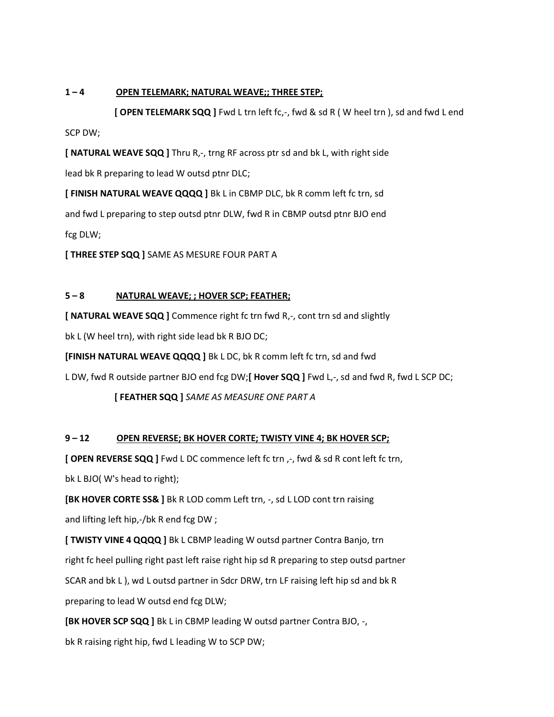### **1 – 4 OPEN TELEMARK; NATURAL WEAVE;; THREE STEP;**

 **[ OPEN TELEMARK SQQ ]** Fwd L trn left fc,-, fwd & sd R ( W heel trn ), sd and fwd L end SCP DW;

**[ NATURAL WEAVE SQQ ]** Thru R,-, trng RF across ptr sd and bk L, with right side lead bk R preparing to lead W outsd ptnr DLC;

**[ FINISH NATURAL WEAVE QQQQ ]** Bk L in CBMP DLC, bk R comm left fc trn, sd and fwd L preparing to step outsd ptnr DLW, fwd R in CBMP outsd ptnr BJO end fcg DLW;

**[ THREE STEP SQQ ]** SAME AS MESURE FOUR PART A

# **5 – 8 NATURAL WEAVE; ; HOVER SCP; FEATHER;**

**[ NATURAL WEAVE SQQ ]** Commence right fc trn fwd R,-, cont trn sd and slightly

bk L (W heel trn), with right side lead bk R BJO DC;

**[FINISH NATURAL WEAVE QQQQ ]** Bk L DC, bk R comm left fc trn, sd and fwd

L DW, fwd R outside partner BJO end fcg DW;**[ Hover SQQ ]** Fwd L,-, sd and fwd R, fwd L SCP DC;

**[ FEATHER SQQ ]** *SAME AS MEASURE ONE PART A*

# **9 – 12 OPEN REVERSE; BK HOVER CORTE; TWISTY VINE 4; BK HOVER SCP;**

**[ OPEN REVERSE SQQ ]** Fwd L DC commence left fc trn ,-, fwd & sd R cont left fc trn,

bk L BJO( W's head to right);

**[BK HOVER CORTE SS& ]** Bk R LOD comm Left trn, -, sd L LOD cont trn raising and lifting left hip,-/bk R end fcg DW ;

**[ TWISTY VINE 4 QQQQ ]** Bk L CBMP leading W outsd partner Contra Banjo, trn right fc heel pulling right past left raise right hip sd R preparing to step outsd partner SCAR and bk L ), wd L outsd partner in Sdcr DRW, trn LF raising left hip sd and bk R preparing to lead W outsd end fcg DLW;

**[BK HOVER SCP SQQ ]** Bk L in CBMP leading W outsd partner Contra BJO, -,

bk R raising right hip, fwd L leading W to SCP DW;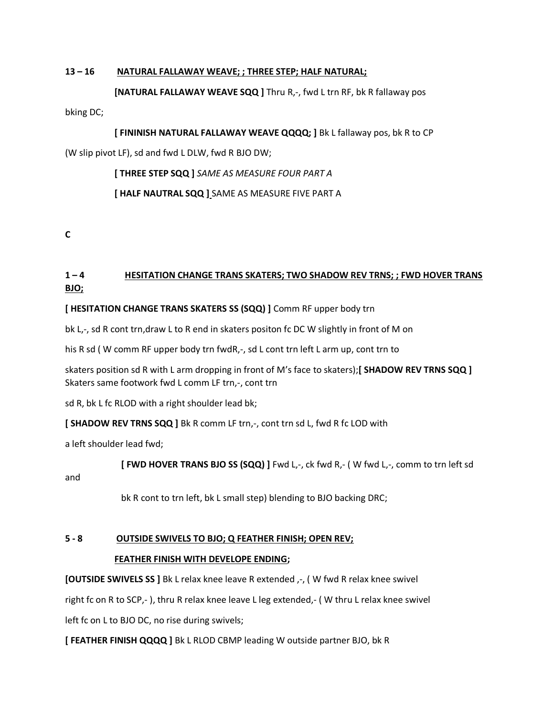### **13 – 16 NATURAL FALLAWAY WEAVE; ; THREE STEP; HALF NATURAL;**

#### **[NATURAL FALLAWAY WEAVE SQQ ]** Thru R<sub>1</sub>-, fwd L trn RF, bk R fallaway pos

bking DC;

**[ FININISH NATURAL FALLAWAY WEAVE QQQQ; ]** Bk L fallaway pos, bk R to CP

(W slip pivot LF), sd and fwd L DLW, fwd R BJO DW;

 **[ THREE STEP SQQ ]** *SAME AS MEASURE FOUR PART A* **[ HALF NAUTRAL SQQ ]** SAME AS MEASURE FIVE PART A

**C**

# **1 – 4 HESITATION CHANGE TRANS SKATERS; TWO SHADOW REV TRNS; ; FWD HOVER TRANS BJO;**

**[ HESITATION CHANGE TRANS SKATERS SS (SQQ) ]** Comm RF upper body trn

bk L<sub>r-</sub>, sd R cont trn,draw L to R end in skaters positon fc DC W slightly in front of M on

his R sd (W comm RF upper body trn fwdR,-, sd L cont trn left L arm up, cont trn to

skaters position sd R with L arm dropping in front of M's face to skaters);**[ SHADOW REV TRNS SQQ ]** Skaters same footwork fwd L comm LF trn,-, cont trn

sd R, bk L fc RLOD with a right shoulder lead bk;

**[ SHADOW REV TRNS SQQ ]** Bk R comm LF trn,-, cont trn sd L, fwd R fc LOD with

a left shoulder lead fwd;

 **[ FWD HOVER TRANS BJO SS (SQQ) ]** Fwd L,-, ck fwd R,- ( W fwd L,-, comm to trn left sd

and

bk R cont to trn left, bk L small step) blending to BJO backing DRC;

# **5 - 8 OUTSIDE SWIVELS TO BJO; Q FEATHER FINISH; OPEN REV;**

# **FEATHER FINISH WITH DEVELOPE ENDING;**

**[OUTSIDE SWIVELS SS ]** Bk L relax knee leave R extended ,-, ( W fwd R relax knee swivel

right fc on R to SCP,- ), thru R relax knee leave L leg extended,- ( W thru L relax knee swivel

left fc on L to BJO DC, no rise during swivels;

**[ FEATHER FINISH QQQQ ]** Bk L RLOD CBMP leading W outside partner BJO, bk R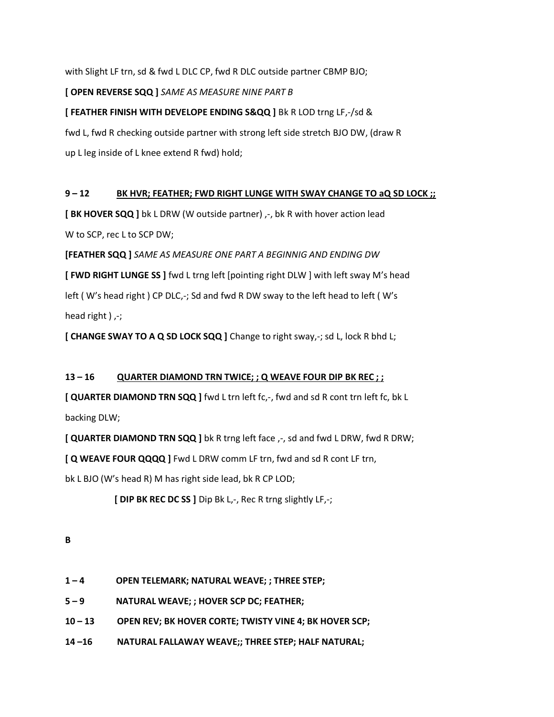with Slight LF trn, sd & fwd L DLC CP, fwd R DLC outside partner CBMP BJO;

# **[ OPEN REVERSE SQQ ]** *SAME AS MEASURE NINE PART B*

# **[ FEATHER FINISH WITH DEVELOPE ENDING S&QQ ]** Bk R LOD trng LF,-/sd &

fwd L, fwd R checking outside partner with strong left side stretch BJO DW, (draw R up L leg inside of L knee extend R fwd) hold;

### **9 – 12 BK HVR; FEATHER; FWD RIGHT LUNGE WITH SWAY CHANGE TO aQ SD LOCK ;;**

**[BK HOVER SQQ ]** bk L DRW (W outside partner) ,-, bk R with hover action lead W to SCP, rec L to SCP DW;

**[FEATHER SQQ ]** *SAME AS MEASURE ONE PART A BEGINNIG AND ENDING DW* **[ FWD RIGHT LUNGE SS ]** fwd L trng left [pointing right DLW ] with left sway M's head left ( W's head right ) CP DLC,-; Sd and fwd R DW sway to the left head to left ( W's head right  $)$  ,-;

**[ CHANGE SWAY TO A Q SD LOCK SQQ ]** Change to right sway,-; sd L, lock R bhd L;

# **13 – 16 QUARTER DIAMOND TRN TWICE; ; Q WEAVE FOUR DIP BK REC ; ;**

**[ QUARTER DIAMOND TRN SQQ ]** fwd L trn left fc,-, fwd and sd R cont trn left fc, bk L backing DLW;

**[ QUARTER DIAMOND TRN SQQ ]** bk R trng left face  $, -$ , sd and fwd L DRW, fwd R DRW;

**[ Q WEAVE FOUR QQQQ ]** Fwd L DRW comm LF trn, fwd and sd R cont LF trn,

bk L BJO (W's head R) M has right side lead, bk R CP LOD;

 **[ DIP BK REC DC SS ]** Dip Bk L,-, Rec R trng slightly LF,-;

- **1 – 4 OPEN TELEMARK; NATURAL WEAVE; ; THREE STEP;**
- **5 – 9 NATURAL WEAVE; ; HOVER SCP DC; FEATHER;**
- **10 – 13 OPEN REV; BK HOVER CORTE; TWISTY VINE 4; BK HOVER SCP;**
- **14 –16 NATURAL FALLAWAY WEAVE;; THREE STEP; HALF NATURAL;**

**B**